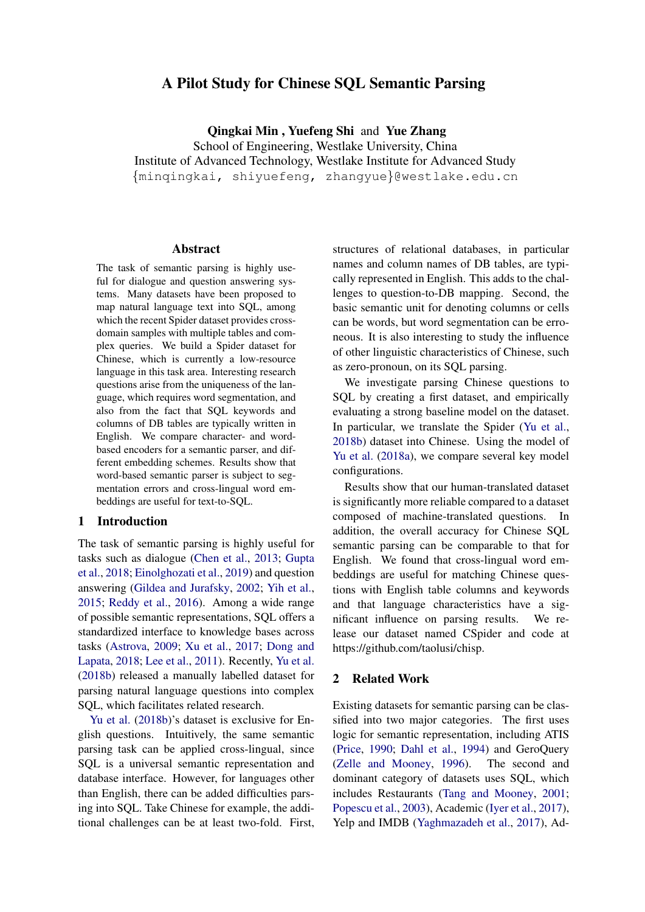# A Pilot Study for Chinese SQL Semantic Parsing

Qingkai Min , Yuefeng Shi and Yue Zhang

School of Engineering, Westlake University, China Institute of Advanced Technology, Westlake Institute for Advanced Study {minqingkai, shiyuefeng, zhangyue}@westlake.edu.cn

#### Abstract

The task of semantic parsing is highly useful for dialogue and question answering systems. Many datasets have been proposed to map natural language text into SQL, among which the recent Spider dataset provides crossdomain samples with multiple tables and complex queries. We build a Spider dataset for Chinese, which is currently a low-resource language in this task area. Interesting research questions arise from the uniqueness of the language, which requires word segmentation, and also from the fact that SQL keywords and columns of DB tables are typically written in English. We compare character- and wordbased encoders for a semantic parser, and different embedding schemes. Results show that word-based semantic parser is subject to segmentation errors and cross-lingual word embeddings are useful for text-to-SQL.

### 1 Introduction

The task of semantic parsing is highly useful for tasks such as dialogue [\(Chen et al.,](#page-5-0) [2013;](#page-5-0) [Gupta](#page-5-1) [et al.,](#page-5-1) [2018;](#page-5-1) [Einolghozati et al.,](#page-5-2) [2019\)](#page-5-2) and question answering [\(Gildea and Jurafsky,](#page-5-3) [2002;](#page-5-3) [Yih et al.,](#page-6-0) [2015;](#page-6-0) [Reddy et al.,](#page-5-4) [2016\)](#page-5-4). Among a wide range of possible semantic representations, SQL offers a standardized interface to knowledge bases across tasks [\(Astrova,](#page-5-5) [2009;](#page-5-5) [Xu et al.,](#page-6-1) [2017;](#page-6-1) [Dong and](#page-5-6) [Lapata,](#page-5-6) [2018;](#page-5-6) [Lee et al.,](#page-5-7) [2011\)](#page-5-7). Recently, [Yu et al.](#page-6-2) [\(2018b\)](#page-6-2) released a manually labelled dataset for parsing natural language questions into complex SQL, which facilitates related research.

[Yu et al.](#page-6-2) [\(2018b\)](#page-6-2)'s dataset is exclusive for English questions. Intuitively, the same semantic parsing task can be applied cross-lingual, since SQL is a universal semantic representation and database interface. However, for languages other than English, there can be added difficulties parsing into SQL. Take Chinese for example, the additional challenges can be at least two-fold. First, structures of relational databases, in particular names and column names of DB tables, are typically represented in English. This adds to the challenges to question-to-DB mapping. Second, the basic semantic unit for denoting columns or cells can be words, but word segmentation can be erroneous. It is also interesting to study the influence of other linguistic characteristics of Chinese, such as zero-pronoun, on its SQL parsing.

We investigate parsing Chinese questions to SQL by creating a first dataset, and empirically evaluating a strong baseline model on the dataset. In particular, we translate the Spider [\(Yu et al.,](#page-6-2) [2018b\)](#page-6-2) dataset into Chinese. Using the model of [Yu et al.](#page-6-3) [\(2018a\)](#page-6-3), we compare several key model configurations.

Results show that our human-translated dataset is significantly more reliable compared to a dataset composed of machine-translated questions. In addition, the overall accuracy for Chinese SQL semantic parsing can be comparable to that for English. We found that cross-lingual word embeddings are useful for matching Chinese questions with English table columns and keywords and that language characteristics have a significant influence on parsing results. We release our dataset named CSpider and code at https://github.com/taolusi/chisp.

### 2 Related Work

Existing datasets for semantic parsing can be classified into two major categories. The first uses logic for semantic representation, including ATIS [\(Price,](#page-5-8) [1990;](#page-5-8) [Dahl et al.,](#page-5-9) [1994\)](#page-5-9) and GeroQuery [\(Zelle and Mooney,](#page-6-4) [1996\)](#page-6-4). The second and dominant category of datasets uses SQL, which includes Restaurants [\(Tang and Mooney,](#page-6-5) [2001;](#page-6-5) [Popescu et al.,](#page-5-10) [2003\)](#page-5-10), Academic [\(Iyer et al.,](#page-5-11) [2017\)](#page-5-11), Yelp and IMDB [\(Yaghmazadeh et al.,](#page-6-6) [2017\)](#page-6-6), Ad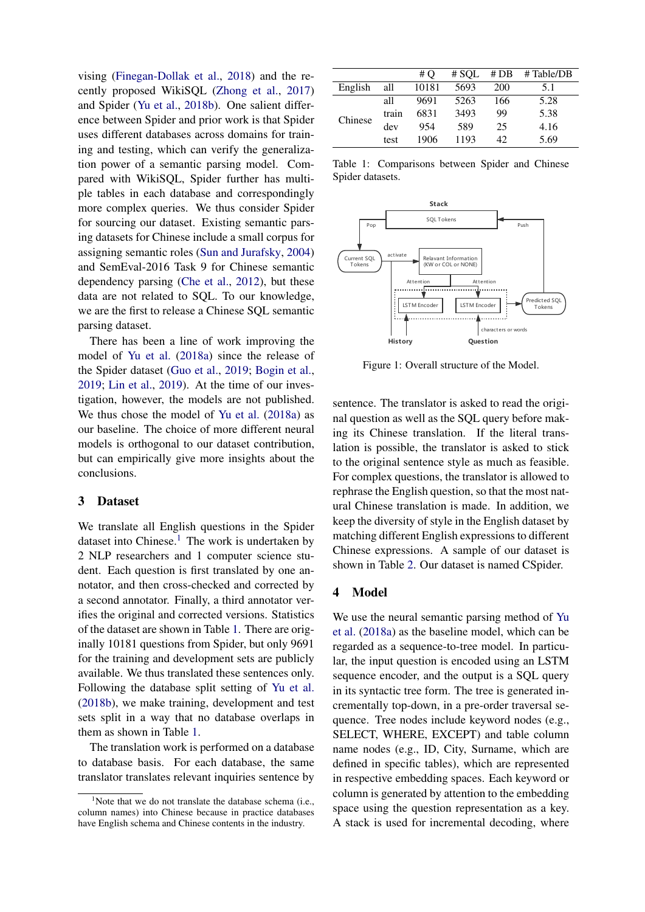vising [\(Finegan-Dollak et al.,](#page-5-12) [2018\)](#page-5-12) and the recently proposed WikiSQL [\(Zhong et al.,](#page-6-7) [2017\)](#page-6-7) and Spider [\(Yu et al.,](#page-6-2) [2018b\)](#page-6-2). One salient difference between Spider and prior work is that Spider uses different databases across domains for training and testing, which can verify the generalization power of a semantic parsing model. Compared with WikiSQL, Spider further has multiple tables in each database and correspondingly more complex queries. We thus consider Spider for sourcing our dataset. Existing semantic parsing datasets for Chinese include a small corpus for assigning semantic roles [\(Sun and Jurafsky,](#page-6-8) [2004\)](#page-6-8) and SemEval-2016 Task 9 for Chinese semantic dependency parsing [\(Che et al.,](#page-5-13) [2012\)](#page-5-13), but these data are not related to SQL. To our knowledge, we are the first to release a Chinese SQL semantic parsing dataset.

There has been a line of work improving the model of [Yu et al.](#page-6-3) [\(2018a\)](#page-6-3) since the release of the Spider dataset [\(Guo et al.,](#page-5-14) [2019;](#page-5-14) [Bogin et al.,](#page-5-15) [2019;](#page-5-15) [Lin et al.,](#page-5-16) [2019\)](#page-5-16). At the time of our investigation, however, the models are not published. We thus chose the model of [Yu et al.](#page-6-3) [\(2018a\)](#page-6-3) as our baseline. The choice of more different neural models is orthogonal to our dataset contribution, but can empirically give more insights about the conclusions.

### 3 Dataset

We translate all English questions in the Spider dataset into Chinese.<sup>[1](#page-1-0)</sup> The work is undertaken by 2 NLP researchers and 1 computer science student. Each question is first translated by one annotator, and then cross-checked and corrected by a second annotator. Finally, a third annotator verifies the original and corrected versions. Statistics of the dataset are shown in Table [1.](#page-1-1) There are originally 10181 questions from Spider, but only 9691 for the training and development sets are publicly available. We thus translated these sentences only. Following the database split setting of [Yu et al.](#page-6-2) [\(2018b\)](#page-6-2), we make training, development and test sets split in a way that no database overlaps in them as shown in Table [1.](#page-1-1)

The translation work is performed on a database to database basis. For each database, the same translator translates relevant inquiries sentence by

<span id="page-1-1"></span>

|         |       | # O   | # SOL | #DB | # Table/DB |
|---------|-------|-------|-------|-----|------------|
| English | all   | 10181 | 5693  | 200 | 5.1        |
| Chinese | all   | 9691  | 5263  | 166 | 5.28       |
|         | train | 6831  | 3493  | 99  | 5.38       |
|         | dev   | 954   | 589   | 25  | 4.16       |
|         | test  | 1906  | 1193  | 42. | 5.69       |

Table 1: Comparisons between Spider and Chinese Spider datasets.

<span id="page-1-2"></span>

Figure 1: Overall structure of the Model.

sentence. The translator is asked to read the original question as well as the SQL query before making its Chinese translation. If the literal translation is possible, the translator is asked to stick to the original sentence style as much as feasible. For complex questions, the translator is allowed to rephrase the English question, so that the most natural Chinese translation is made. In addition, we keep the diversity of style in the English dataset by matching different English expressions to different Chinese expressions. A sample of our dataset is shown in Table [2.](#page-2-0) Our dataset is named CSpider.

### 4 Model

We use the neural semantic parsing method of [Yu](#page-6-3) [et al.](#page-6-3) [\(2018a\)](#page-6-3) as the baseline model, which can be regarded as a sequence-to-tree model. In particular, the input question is encoded using an LSTM sequence encoder, and the output is a SQL query in its syntactic tree form. The tree is generated incrementally top-down, in a pre-order traversal sequence. Tree nodes include keyword nodes (e.g., SELECT, WHERE, EXCEPT) and table column name nodes (e.g., ID, City, Surname, which are defined in specific tables), which are represented in respective embedding spaces. Each keyword or column is generated by attention to the embedding space using the question representation as a key. A stack is used for incremental decoding, where

<span id="page-1-0"></span><sup>&</sup>lt;sup>1</sup>Note that we do not translate the database schema (i.e., column names) into Chinese because in practice databases have English schema and Chinese contents in the industry.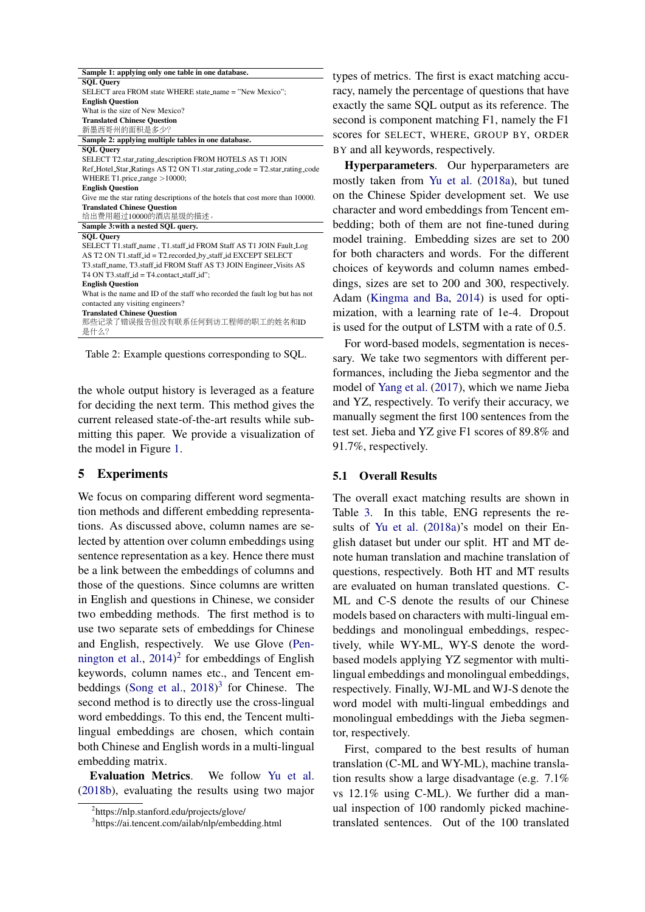<span id="page-2-0"></span>

| Sample 1: applying only one table in one database.                            |
|-------------------------------------------------------------------------------|
| <b>SOL Ouery</b>                                                              |
| SELECT area FROM state WHERE state_name = "New Mexico";                       |
| <b>English Question</b>                                                       |
| What is the size of New Mexico?                                               |
| <b>Translated Chinese Question</b>                                            |
| 新墨西哥州的面积是多少?                                                                  |
| Sample 2: applying multiple tables in one database.                           |
| <b>SQL Query</b>                                                              |
| SELECT T2.star_rating_description FROM HOTELS AS T1 JOIN                      |
| Ref_Hotel_Star_Ratings AS T2 ON T1.star_rating_code = T2.star_rating_code     |
| WHERE T1.price_range $>10000$ ;                                               |
| <b>English Question</b>                                                       |
| Give me the star rating descriptions of the hotels that cost more than 10000. |
| <b>Translated Chinese Ouestion</b>                                            |
| 给出费用超过10000的酒店星级的描述。                                                          |
| Sample 3: with a nested SQL query.                                            |
| <b>SOL Ouery</b>                                                              |
| SELECT T1.staff_name, T1.staff_id FROM Staff AS T1 JOIN Fault_Log             |
| AS T2 ON T1.staff_id = T2.recorded_by_staff_id EXCEPT SELECT                  |
| T3.staff_name, T3.staff_id FROM Staff AS T3 JOIN Engineer_Visits AS           |
| T4 ON T3.staff_id = T4.contact_staff_id";                                     |
| <b>English Question</b>                                                       |
| What is the name and ID of the staff who recorded the fault log but has not   |
| contacted any visiting engineers?                                             |
| <b>Translated Chinese Question</b>                                            |
| 那些记录了错误报告但没有联系任何到访工程师的职工的姓名和ID                                                |
| 是什么?                                                                          |
|                                                                               |

Table 2: Example questions corresponding to SQL.

the whole output history is leveraged as a feature for deciding the next term. This method gives the current released state-of-the-art results while submitting this paper. We provide a visualization of the model in Figure [1.](#page-1-2)

### 5 Experiments

We focus on comparing different word segmentation methods and different embedding representations. As discussed above, column names are selected by attention over column embeddings using sentence representation as a key. Hence there must be a link between the embeddings of columns and those of the questions. Since columns are written in English and questions in Chinese, we consider two embedding methods. The first method is to use two separate sets of embeddings for Chinese and English, respectively. We use Glove [\(Pen](#page-5-17)[nington et al.,](#page-5-17)  $2014$  $2014$ <sup>2</sup> for embeddings of English keywords, column names etc., and Tencent em-beddings [\(Song et al.,](#page-6-9) [2018\)](#page-6-9)<sup>[3](#page-2-2)</sup> for Chinese. The second method is to directly use the cross-lingual word embeddings. To this end, the Tencent multilingual embeddings are chosen, which contain both Chinese and English words in a multi-lingual embedding matrix.

Evaluation Metrics. We follow [Yu et al.](#page-6-2) [\(2018b\)](#page-6-2), evaluating the results using two major types of metrics. The first is exact matching accuracy, namely the percentage of questions that have exactly the same SQL output as its reference. The second is component matching F1, namely the F1 scores for SELECT, WHERE, GROUP BY, ORDER BY and all keywords, respectively.

Hyperparameters. Our hyperparameters are mostly taken from [Yu et al.](#page-6-3) [\(2018a\)](#page-6-3), but tuned on the Chinese Spider development set. We use character and word embeddings from Tencent embedding; both of them are not fine-tuned during model training. Embedding sizes are set to 200 for both characters and words. For the different choices of keywords and column names embeddings, sizes are set to 200 and 300, respectively. Adam [\(Kingma and Ba,](#page-5-18) [2014\)](#page-5-18) is used for optimization, with a learning rate of 1e-4. Dropout is used for the output of LSTM with a rate of 0.5.

For word-based models, segmentation is necessary. We take two segmentors with different performances, including the Jieba segmentor and the model of [Yang et al.](#page-6-10) [\(2017\)](#page-6-10), which we name Jieba and YZ, respectively. To verify their accuracy, we manually segment the first 100 sentences from the test set. Jieba and YZ give F1 scores of 89.8% and 91.7%, respectively.

### 5.1 Overall Results

The overall exact matching results are shown in Table [3.](#page-3-0) In this table, ENG represents the results of [Yu et al.](#page-6-3) [\(2018a\)](#page-6-3)'s model on their English dataset but under our split. HT and MT denote human translation and machine translation of questions, respectively. Both HT and MT results are evaluated on human translated questions. C-ML and C-S denote the results of our Chinese models based on characters with multi-lingual embeddings and monolingual embeddings, respectively, while WY-ML, WY-S denote the wordbased models applying YZ segmentor with multilingual embeddings and monolingual embeddings, respectively. Finally, WJ-ML and WJ-S denote the word model with multi-lingual embeddings and monolingual embeddings with the Jieba segmentor, respectively.

First, compared to the best results of human translation (C-ML and WY-ML), machine translation results show a large disadvantage (e.g. 7.1% vs 12.1% using C-ML). We further did a manual inspection of 100 randomly picked machinetranslated sentences. Out of the 100 translated

<span id="page-2-1"></span><sup>2</sup> https://nlp.stanford.edu/projects/glove/

<span id="page-2-2"></span><sup>3</sup> https://ai.tencent.com/ailab/nlp/embedding.html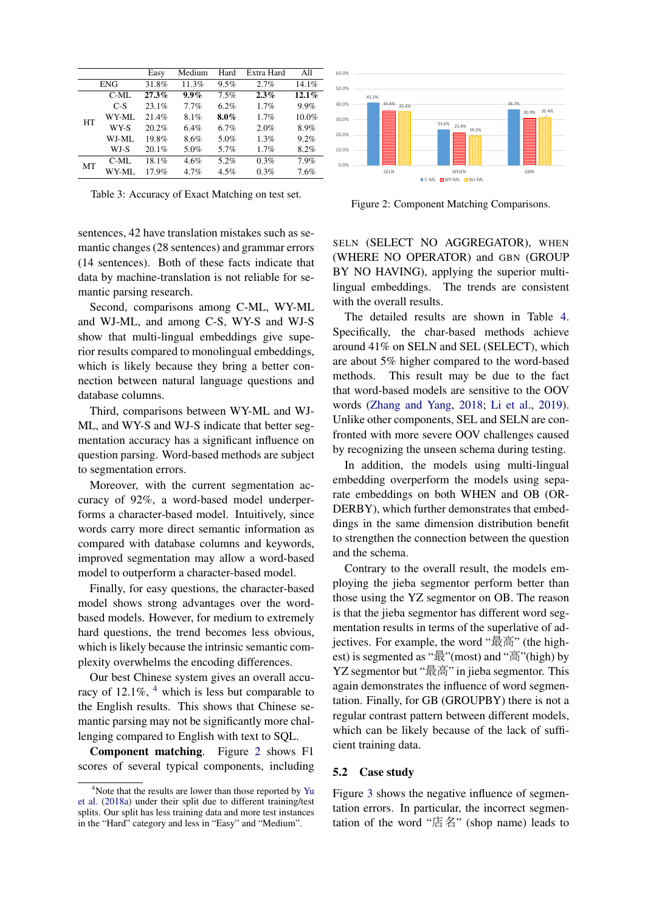<span id="page-3-0"></span>

|           |            | Easy  | Medium  | Hard    | Extra Hard | A11      |
|-----------|------------|-------|---------|---------|------------|----------|
|           | <b>ENG</b> | 31.8% | 11.3%   | 9.5%    | 2.7%       | 14.1%    |
|           | $C-ML$     | 27.3% | $9.9\%$ | 7.5%    | $2.3\%$    | $12.1\%$ |
|           | $C-S$      | 23.1% | 7.7%    | 6.2%    | 1.7%       | 9.9%     |
| <b>HT</b> | WY-ML      | 21.4% | 8.1%    | $8.0\%$ | 1.7%       | 10.0%    |
|           | WY-S       | 20.2% | 6.4%    | 6.7%    | 2.0%       | 8.9%     |
|           | WJ-ML      | 19.8% | 8.6%    | 5.0%    | 1.3%       | 9.2%     |
|           | WJ-S       | 20.1% | 5.0%    | 5.7%    | 1.7%       | 8.2%     |
| MT        | $C-ML$     | 18.1% | 4.6%    | 5.2%    | 0.3%       | 7.9%     |
|           | WY-ML      | 17.9% | 4.7%    | 4.5%    | 0.3%       | 7.6%     |

Table 3: Accuracy of Exact Matching on test set.

sentences, 42 have translation mistakes such as semantic changes (28 sentences) and grammar errors (14 sentences). Both of these facts indicate that data by machine-translation is not reliable for semantic parsing research.

Second, comparisons among C-ML, WY-ML and WJ-ML, and among C-S, WY-S and WJ-S show that multi-lingual embeddings give superior results compared to monolingual embeddings, which is likely because they bring a better connection between natural language questions and database columns.

Third, comparisons between WY-ML and WJ-ML, and WY-S and WJ-S indicate that better segmentation accuracy has a significant influence on question parsing. Word-based methods are subject to segmentation errors.

Moreover, with the current segmentation accuracy of 92%, a word-based model underperforms a character-based model. Intuitively, since words carry more direct semantic information as compared with database columns and keywords, improved segmentation may allow a word-based model to outperform a character-based model.

Finally, for easy questions, the character-based model shows strong advantages over the wordbased models. However, for medium to extremely hard questions, the trend becomes less obvious, which is likely because the intrinsic semantic complexity overwhelms the encoding differences.

Our best Chinese system gives an overall accuracy of 12.1%,  $4\overline{ }$  $4\overline{ }$  which is less but comparable to the English results. This shows that Chinese semantic parsing may not be significantly more challenging compared to English with text to SQL.

Component matching. Figure [2](#page-3-2) shows F1 scores of several typical components, including

<span id="page-3-2"></span>

Figure 2: Component Matching Comparisons.

SELN (SELECT NO AGGREGATOR), WHEN (WHERE NO OPERATOR) and GBN (GROUP BY NO HAVING), applying the superior multilingual embeddings. The trends are consistent with the overall results.

The detailed results are shown in Table [4.](#page-4-0) Specifically, the char-based methods achieve around 41% on SELN and SEL (SELECT), which are about 5% higher compared to the word-based methods. This result may be due to the fact that word-based models are sensitive to the OOV words [\(Zhang and Yang,](#page-6-11) [2018;](#page-6-11) [Li et al.,](#page-5-19) [2019\)](#page-5-19). Unlike other components, SEL and SELN are confronted with more severe OOV challenges caused by recognizing the unseen schema during testing.

In addition, the models using multi-lingual embedding overperform the models using separate embeddings on both WHEN and OB (OR-DERBY), which further demonstrates that embeddings in the same dimension distribution benefit to strengthen the connection between the question and the schema.

Contrary to the overall result, the models employing the jieba segmentor perform better than those using the YZ segmentor on OB. The reason is that the jieba segmentor has different word segmentation results in terms of the superlative of adjectives. For example, the word "最高" (the highest) is segmented as "最"(most) and "高"(high) by YZ segmentor but "最高" in jieba segmentor. This again demonstrates the influence of word segmentation. Finally, for GB (GROUPBY) there is not a regular contrast pattern between different models, which can be likely because of the lack of sufficient training data.

### 5.2 Case study

Figure [3](#page-4-1) shows the negative influence of segmentation errors. In particular, the incorrect segmentation of the word "店名" (shop name) leads to

<span id="page-3-1"></span><sup>&</sup>lt;sup>4</sup>Note that the results are lower than those reported by [Yu](#page-6-3) [et al.](#page-6-3) [\(2018a\)](#page-6-3) under their split due to different training/test splits. Our split has less training data and more test instances in the "Hard" category and less in "Easy" and "Medium".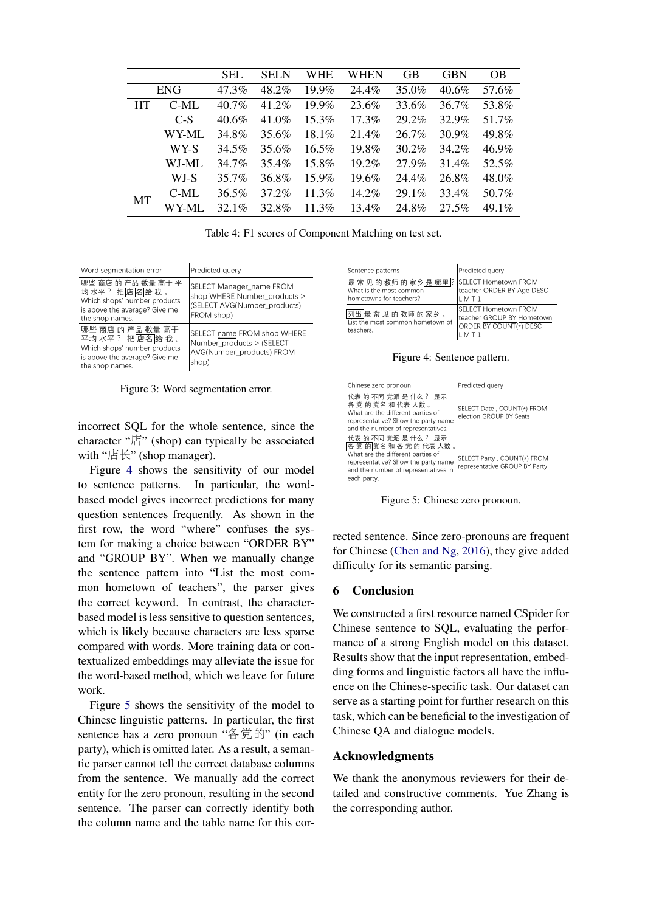<span id="page-4-0"></span>

|           |            | <b>SEL</b> | <b>SELN</b> | WHE      | WHEN     | <b>GB</b> | <b>GBN</b> | <b>OB</b> |
|-----------|------------|------------|-------------|----------|----------|-----------|------------|-----------|
|           | <b>ENG</b> | 47.3%      | 48.2%       | $19.9\%$ | 24.4%    | 35.0%     | $40.6\%$   | 57.6%     |
| <b>HT</b> | C-ML       | 40.7%      | 41.2%       | $19.9\%$ | 23.6%    | 33.6%     | 36.7%      | 53.8%     |
|           | $C-S$      | $40.6\%$   | 41.0%       | $15.3\%$ | 17.3%    | 29.2%     | 32.9%      | 51.7%     |
|           | WY-ML      | 34.8%      | 35.6%       | $18.1\%$ | 21.4%    | 26.7%     | 30.9%      | 49.8%     |
|           | WY-S       | 34.5%      | 35.6%       | $16.5\%$ | 19.8%    | 30.2%     | 34.2%      | 46.9%     |
|           | WJ-ML      | 34.7%      | 35.4%       | 15.8%    | 19.2%    | 27.9%     | 31.4%      | 52.5%     |
|           | WJ-S       | 35.7%      | 36.8%       | $15.9\%$ | 19.6%    | 24.4%     | 26.8%      | 48.0%     |
| <b>MT</b> | C-ML       | 36.5%      | 37.2%       | $11.3\%$ | 14.2%    | 29.1%     | 33.4%      | 50.7%     |
|           | WY-ML      | 32.1%      | 32.8%       | $11.3\%$ | $13.4\%$ | 24.8%     | 27.5%      | $49.1\%$  |
|           |            |            |             |          |          |           |            |           |

<span id="page-4-1"></span>

| Word segmentation error                                                                                                  | Predicted query                                                                                        |  |
|--------------------------------------------------------------------------------------------------------------------------|--------------------------------------------------------------------------------------------------------|--|
| 哪些 商店 的 产品 数量 高于 平<br>均水平?把店名给我。<br>Which shops' number products<br>is above the average? Give me<br>the shop names.     | SELECT Manager name FROM<br>shop WHERE Number products ><br>(SELECT AVG(Number products)<br>FROM shop) |  |
| 哪些 商店 的 产品 数量 高于<br>平均 水平? 把店名 给 我 。<br>Which shops' number products<br>is above the average? Give me<br>the shop names. | SELECT name FROM shop WHERE<br>Number products > (SELECT<br>AVG(Number products) FROM<br>shop)         |  |

Figure 3: Word segmentation error.

incorrect SQL for the whole sentence, since the character "店" (shop) can typically be associated with "店长" (shop manager).

Figure [4](#page-4-2) shows the sensitivity of our model to sentence patterns. In particular, the wordbased model gives incorrect predictions for many question sentences frequently. As shown in the first row, the word "where" confuses the system for making a choice between "ORDER BY" and "GROUP BY". When we manually change the sentence pattern into "List the most common hometown of teachers", the parser gives the correct keyword. In contrast, the characterbased model is less sensitive to question sentences, which is likely because characters are less sparse compared with words. More training data or contextualized embeddings may alleviate the issue for the word-based method, which we leave for future work.

Figure [5](#page-4-3) shows the sensitivity of the model to Chinese linguistic patterns. In particular, the first sentence has a zero pronoun "各党的" (in each party), which is omitted later. As a result, a semantic parser cannot tell the correct database columns from the sentence. We manually add the correct entity for the zero pronoun, resulting in the second sentence. The parser can correctly identify both the column name and the table name for this cor-

<span id="page-4-2"></span>

| Sentence patterns                                                   | Predicted query                                                                                         |
|---------------------------------------------------------------------|---------------------------------------------------------------------------------------------------------|
| 最常见的教师的家乡是哪里?<br>What is the most common<br>hometowns for teachers? | <b>SELECT Hometown FROM</b><br>teacher ORDER BY Age DESC<br>LIMIT <sub>1</sub>                          |
| 列出最常见的教师的家乡。<br>List the most common hometown of<br>teachers.       | ISELECT Hometown FROM<br>lteacher GROUP BY Hometown<br><b>ORDER BY COUNT(*) DESC</b><br><b>I IMIT 1</b> |

Figure 4: Sentence pattern.

<span id="page-4-3"></span>

| Chinese zero pronoun                                                                                                                                                     | Predicted query                                              |
|--------------------------------------------------------------------------------------------------------------------------------------------------------------------------|--------------------------------------------------------------|
| 代表 的 不同 党派 是 什么? 显示<br>各党的党名和代表人数。<br>What are the different parties of<br>representative? Show the party name<br>and the number of representatives.                     | SELECT Date, COUNT(*) FROM<br>election GROUP BY Seats        |
| 代表 的 不同 党派 是 什么? 显示<br>各党的党名和各党的代表人数。<br>What are the different parties of<br>representative? Show the party name<br>and the number of representatives in<br>each party. | SELECT Party, COUNT(*) FROM<br>representative GROUP BY Party |

Figure 5: Chinese zero pronoun.

rected sentence. Since zero-pronouns are frequent for Chinese [\(Chen and Ng,](#page-5-20) [2016\)](#page-5-20), they give added difficulty for its semantic parsing.

## 6 Conclusion

We constructed a first resource named CSpider for Chinese sentence to SQL, evaluating the performance of a strong English model on this dataset. Results show that the input representation, embedding forms and linguistic factors all have the influence on the Chinese-specific task. Our dataset can serve as a starting point for further research on this task, which can be beneficial to the investigation of Chinese QA and dialogue models.

### Acknowledgments

We thank the anonymous reviewers for their detailed and constructive comments. Yue Zhang is the corresponding author.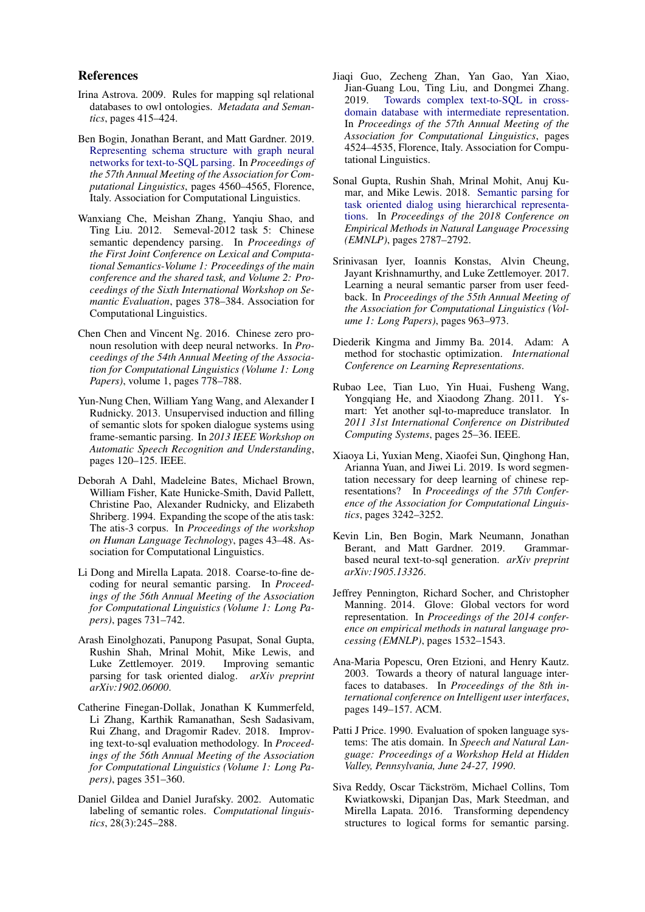### References

- <span id="page-5-5"></span>Irina Astrova. 2009. Rules for mapping sql relational databases to owl ontologies. *Metadata and Semantics*, pages 415–424.
- <span id="page-5-15"></span>Ben Bogin, Jonathan Berant, and Matt Gardner. 2019. [Representing schema structure with graph neural](https://www.aclweb.org/anthology/P19-1448) [networks for text-to-SQL parsing.](https://www.aclweb.org/anthology/P19-1448) In *Proceedings of the 57th Annual Meeting of the Association for Computational Linguistics*, pages 4560–4565, Florence, Italy. Association for Computational Linguistics.
- <span id="page-5-13"></span>Wanxiang Che, Meishan Zhang, Yanqiu Shao, and Ting Liu. 2012. Semeval-2012 task 5: Chinese semantic dependency parsing. In *Proceedings of the First Joint Conference on Lexical and Computational Semantics-Volume 1: Proceedings of the main conference and the shared task, and Volume 2: Proceedings of the Sixth International Workshop on Semantic Evaluation*, pages 378–384. Association for Computational Linguistics.
- <span id="page-5-20"></span>Chen Chen and Vincent Ng. 2016. Chinese zero pronoun resolution with deep neural networks. In *Proceedings of the 54th Annual Meeting of the Association for Computational Linguistics (Volume 1: Long Papers)*, volume 1, pages 778–788.
- <span id="page-5-0"></span>Yun-Nung Chen, William Yang Wang, and Alexander I Rudnicky. 2013. Unsupervised induction and filling of semantic slots for spoken dialogue systems using frame-semantic parsing. In *2013 IEEE Workshop on Automatic Speech Recognition and Understanding*, pages 120–125. IEEE.
- <span id="page-5-9"></span>Deborah A Dahl, Madeleine Bates, Michael Brown, William Fisher, Kate Hunicke-Smith, David Pallett, Christine Pao, Alexander Rudnicky, and Elizabeth Shriberg. 1994. Expanding the scope of the atis task: The atis-3 corpus. In *Proceedings of the workshop on Human Language Technology*, pages 43–48. Association for Computational Linguistics.
- <span id="page-5-6"></span>Li Dong and Mirella Lapata. 2018. Coarse-to-fine decoding for neural semantic parsing. In *Proceedings of the 56th Annual Meeting of the Association for Computational Linguistics (Volume 1: Long Papers)*, pages 731–742.
- <span id="page-5-2"></span>Arash Einolghozati, Panupong Pasupat, Sonal Gupta, Rushin Shah, Mrinal Mohit, Mike Lewis, and Luke Zettlemoyer. 2019. Improving semantic parsing for task oriented dialog. *arXiv preprint arXiv:1902.06000*.
- <span id="page-5-12"></span>Catherine Finegan-Dollak, Jonathan K Kummerfeld, Li Zhang, Karthik Ramanathan, Sesh Sadasivam, Rui Zhang, and Dragomir Radev. 2018. Improving text-to-sql evaluation methodology. In *Proceedings of the 56th Annual Meeting of the Association for Computational Linguistics (Volume 1: Long Papers)*, pages 351–360.
- <span id="page-5-3"></span>Daniel Gildea and Daniel Jurafsky. 2002. Automatic labeling of semantic roles. *Computational linguistics*, 28(3):245–288.
- <span id="page-5-14"></span>Jiaqi Guo, Zecheng Zhan, Yan Gao, Yan Xiao, Jian-Guang Lou, Ting Liu, and Dongmei Zhang. 2019. [Towards complex text-to-SQL in cross](https://www.aclweb.org/anthology/P19-1444)[domain database with intermediate representation.](https://www.aclweb.org/anthology/P19-1444) In *Proceedings of the 57th Annual Meeting of the Association for Computational Linguistics*, pages 4524–4535, Florence, Italy. Association for Computational Linguistics.
- <span id="page-5-1"></span>Sonal Gupta, Rushin Shah, Mrinal Mohit, Anuj Kumar, and Mike Lewis. 2018. [Semantic parsing for](http://aclweb.org/anthology/D18-1300) [task oriented dialog using hierarchical representa](http://aclweb.org/anthology/D18-1300)[tions.](http://aclweb.org/anthology/D18-1300) In *Proceedings of the 2018 Conference on Empirical Methods in Natural Language Processing (EMNLP)*, pages 2787–2792.
- <span id="page-5-11"></span>Srinivasan Iyer, Ioannis Konstas, Alvin Cheung, Jayant Krishnamurthy, and Luke Zettlemoyer. 2017. Learning a neural semantic parser from user feedback. In *Proceedings of the 55th Annual Meeting of the Association for Computational Linguistics (Volume 1: Long Papers)*, pages 963–973.
- <span id="page-5-18"></span>Diederik Kingma and Jimmy Ba. 2014. Adam: A method for stochastic optimization. *International Conference on Learning Representations*.
- <span id="page-5-7"></span>Rubao Lee, Tian Luo, Yin Huai, Fusheng Wang, Yongqiang He, and Xiaodong Zhang. 2011. Ysmart: Yet another sql-to-mapreduce translator. In *2011 31st International Conference on Distributed Computing Systems*, pages 25–36. IEEE.
- <span id="page-5-19"></span>Xiaoya Li, Yuxian Meng, Xiaofei Sun, Qinghong Han, Arianna Yuan, and Jiwei Li. 2019. Is word segmentation necessary for deep learning of chinese representations? In *Proceedings of the 57th Conference of the Association for Computational Linguistics*, pages 3242–3252.
- <span id="page-5-16"></span>Kevin Lin, Ben Bogin, Mark Neumann, Jonathan Berant, and Matt Gardner. 2019. Grammarbased neural text-to-sql generation. *arXiv preprint arXiv:1905.13326*.
- <span id="page-5-17"></span>Jeffrey Pennington, Richard Socher, and Christopher Manning. 2014. Glove: Global vectors for word representation. In *Proceedings of the 2014 conference on empirical methods in natural language processing (EMNLP)*, pages 1532–1543.
- <span id="page-5-10"></span>Ana-Maria Popescu, Oren Etzioni, and Henry Kautz. 2003. Towards a theory of natural language interfaces to databases. In *Proceedings of the 8th international conference on Intelligent user interfaces*, pages 149–157. ACM.
- <span id="page-5-8"></span>Patti J Price. 1990. Evaluation of spoken language systems: The atis domain. In *Speech and Natural Language: Proceedings of a Workshop Held at Hidden Valley, Pennsylvania, June 24-27, 1990*.
- <span id="page-5-4"></span>Siva Reddy, Oscar Täckström, Michael Collins, Tom Kwiatkowski, Dipanjan Das, Mark Steedman, and Mirella Lapata. 2016. Transforming dependency structures to logical forms for semantic parsing.